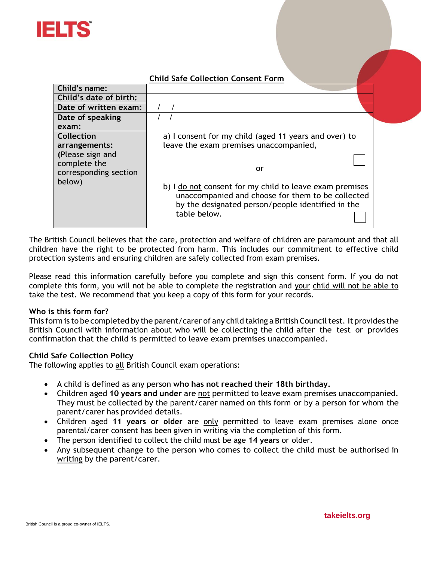

# **Child Safe Collection Consent Form**

|                                                                                                           | Critic Sale Conection Consent Form                                                                                                                                                                                                                                                         |
|-----------------------------------------------------------------------------------------------------------|--------------------------------------------------------------------------------------------------------------------------------------------------------------------------------------------------------------------------------------------------------------------------------------------|
| Child's name:                                                                                             |                                                                                                                                                                                                                                                                                            |
| Child's date of birth:                                                                                    |                                                                                                                                                                                                                                                                                            |
| Date of written exam:                                                                                     |                                                                                                                                                                                                                                                                                            |
| Date of speaking                                                                                          |                                                                                                                                                                                                                                                                                            |
| exam:                                                                                                     |                                                                                                                                                                                                                                                                                            |
| <b>Collection</b><br>arrangements:<br>(Please sign and<br>complete the<br>corresponding section<br>below) | a) I consent for my child (aged 11 years and over) to<br>leave the exam premises unaccompanied,<br>or<br>b) I do not consent for my child to leave exam premises<br>unaccompanied and choose for them to be collected<br>by the designated person/people identified in the<br>table below. |

The British Council believes that the care, protection and welfare of children are paramount and that all children have the right to be protected from harm. This includes our commitment to effective child protection systems and ensuring children are safely collected from exam premises.

Please read this information carefully before you complete and sign this consent form. If you do not complete this form, you will not be able to complete the registration and your child will not be able to take the test. We recommend that you keep a copy of this form for your records.

### **Who is this form for?**

This form is to be completed by the parent/carer of any child taking a British Council test. It provides the British Council with information about who will be collecting the child after the test or provides confirmation that the child is permitted to leave exam premises unaccompanied.

### **Child Safe Collection Policy**

The following applies to all British Council exam operations:

- A child is defined as any person **who has not reached their 18th birthday.**
- Children aged **10 years and under** are not permitted to leave exam premises unaccompanied. They must be collected by the parent/carer named on this form or by a person for whom the parent/carer has provided details.
- Children aged **11 years or older** are only permitted to leave exam premises alone once parental/carer consent has been given in writing via the completion of this form.
- The person identified to collect the child must be age **14 years** or older.
- Any subsequent change to the person who comes to collect the child must be authorised in writing by the parent/carer.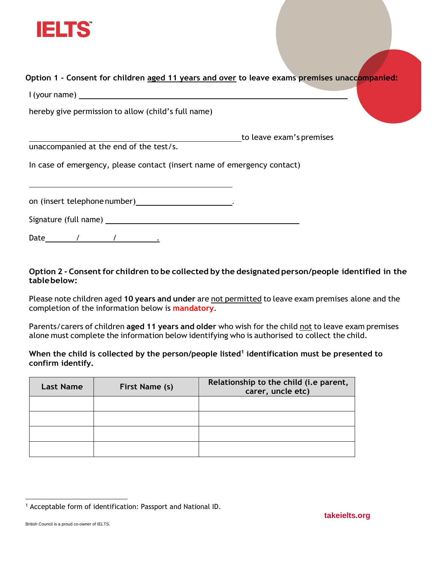

**Option 1 - Consent for children aged 11 years and over to leave exams premises unaccompanied:**

I (your name)

hereby give permission to allow (child's full name)

to leave exam's premises unaccompanied at the end of the test/s.

In case of emergency, please contact (insert name of emergency contact)

on (insert telephone number) **.** The same state of the set of the set of the set of the set of the set of the set of the set of the set of the set of the set of the set of the set of the set of the set of the set of the se

Signature (full name)

Date / / .

# **Option 2 - Consentfor children to be collected by the designated person/people identified in the tablebelow:**

Please note children aged **10 years and under** are not permitted to leave exam premises alone and the completion of the information below is **mandatory**.

Parents/carers of children **aged 11 years and older** who wish for the child not to leave exam premises alone must complete the information below identifying who is authorised to collect the child.

**When the child is collected by the person/people listed<sup>1</sup> identification must be presented to confirm identify.**

| <b>Last Name</b> | First Name (s) | Relationship to the child (i.e parent,<br>carer, uncle etc) |
|------------------|----------------|-------------------------------------------------------------|
|                  |                |                                                             |
|                  |                |                                                             |
|                  |                |                                                             |
|                  |                |                                                             |

<sup>&</sup>lt;sup>1</sup> Acceptable form of identification: Passport and National ID.